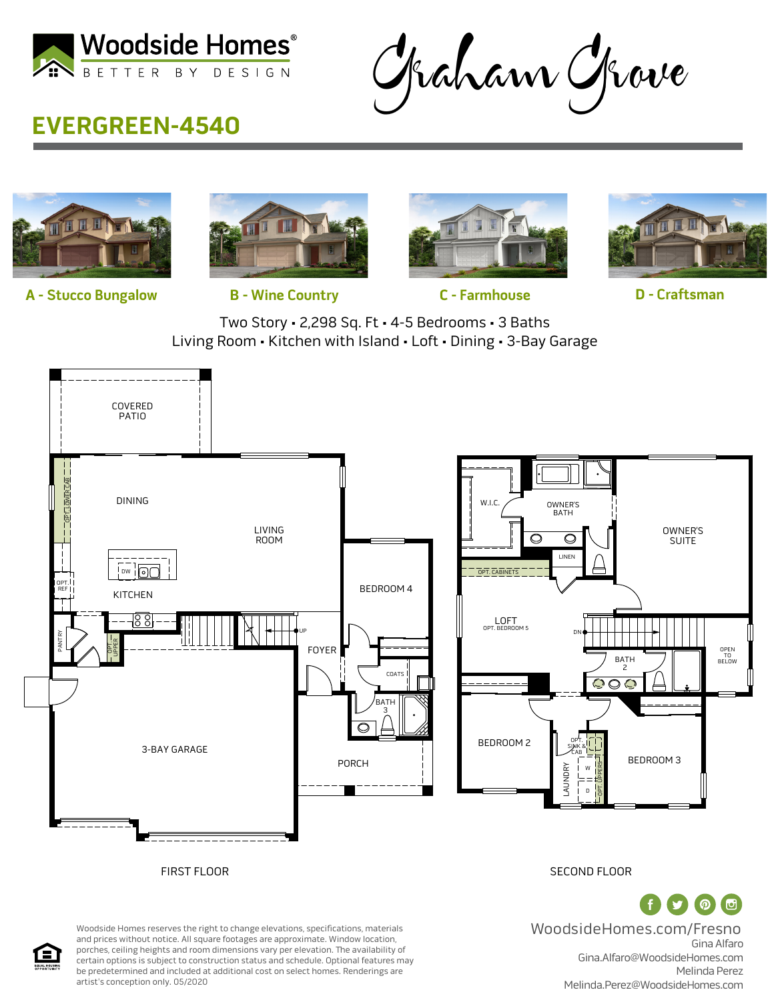

Graham Grove

## **EVERGREEN-4540**



**A - Stucco Bungalow B - Wine Country C - Farmhouse D - Craftsman**







Two Story • 2,298 Sq. Ft • 4-5 Bedrooms • 3 Baths Living Room • Kitchen with Island • Loft • Dining • 3-Bay Garage



Melinda Perez Melinda.Perez@WoodsideHomes.com



certain options is subject to construction status and schedule. Optional features may be predetermined and included at additional cost on select homes. Renderings are artist's conception only. 05/2020